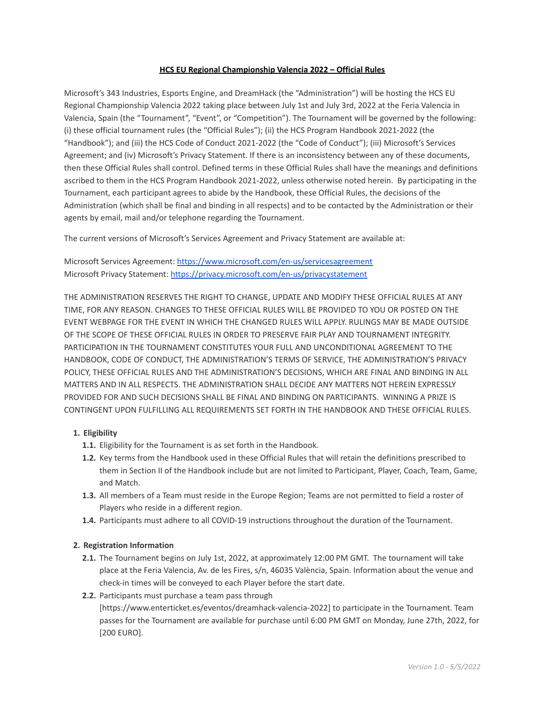## **HCS EU Regional Championship Valencia 2022 – Official Rules**

Microsoft's 343 Industries, Esports Engine, and DreamHack (the "Administration") will be hosting the HCS EU Regional Championship Valencia 2022 taking place between July 1st and July 3rd, 2022 at the Feria Valencia in Valencia, Spain (the "Tournament", "Event", or "Competition"). The Tournament will be governed by the following: (i) these official tournament rules (the "Official Rules"); (ii) the HCS Program Handbook 2021-2022 (the "Handbook"); and (iii) the HCS Code of Conduct 2021-2022 (the "Code of Conduct"); (iii) Microsoft's Services Agreement; and (iv) Microsoft's Privacy Statement. If there is an inconsistency between any of these documents, then these Official Rules shall control. Defined terms in these Official Rules shall have the meanings and definitions ascribed to them in the HCS Program Handbook 2021-2022, unless otherwise noted herein. By participating in the Tournament, each participant agrees to abide by the Handbook, these Official Rules, the decisions of the Administration (which shall be final and binding in all respects) and to be contacted by the Administration or their agents by email, mail and/or telephone regarding the Tournament.

The current versions of Microsoft's Services Agreement and Privacy Statement are available at:

Microsoft Services Agreement: <https://www.microsoft.com/en-us/servicesagreement> Microsoft Privacy Statement: <https://privacy.microsoft.com/en-us/privacystatement>

THE ADMINISTRATION RESERVES THE RIGHT TO CHANGE, UPDATE AND MODIFY THESE OFFICIAL RULES AT ANY TIME, FOR ANY REASON. CHANGES TO THESE OFFICIAL RULES WILL BE PROVIDED TO YOU OR POSTED ON THE EVENT WEBPAGE FOR THE EVENT IN WHICH THE CHANGED RULES WILL APPLY. RULINGS MAY BE MADE OUTSIDE OF THE SCOPE OF THESE OFFICIAL RULES IN ORDER TO PRESERVE FAIR PLAY AND TOURNAMENT INTEGRITY. PARTICIPATION IN THE TOURNAMENT CONSTITUTES YOUR FULL AND UNCONDITIONAL AGREEMENT TO THE HANDBOOK, CODE OF CONDUCT, THE ADMINISTRATION'S TERMS OF SERVICE, THE ADMINISTRATION'S PRIVACY POLICY, THESE OFFICIAL RULES AND THE ADMINISTRATION'S DECISIONS, WHICH ARE FINAL AND BINDING IN ALL MATTERS AND IN ALL RESPECTS. THE ADMINISTRATION SHALL DECIDE ANY MATTERS NOT HEREIN EXPRESSLY PROVIDED FOR AND SUCH DECISIONS SHALL BE FINAL AND BINDING ON PARTICIPANTS. WINNING A PRIZE IS CONTINGENT UPON FULFILLING ALL REQUIREMENTS SET FORTH IN THE HANDBOOK AND THESE OFFICIAL RULES.

# **1. Eligibility**

- **1.1.** Eligibility for the Tournament is as set forth in the Handbook.
- **1.2.** Key terms from the Handbook used in these Official Rules that will retain the definitions prescribed to them in Section II of the Handbook include but are not limited to Participant, Player, Coach, Team, Game, and Match.
- **1.3.** All members of a Team must reside in the Europe Region; Teams are not permitted to field a roster of Players who reside in a different region.
- **1.4.** Participants must adhere to all COVID-19 instructions throughout the duration of the Tournament.

### **2. Registration Information**

- **2.1.** The Tournament begins on July 1st, 2022, at approximately 12:00 PM GMT. The tournament will take place at the Feria Valencia, Av. de les Fires, s/n, 46035 València, Spain. Information about the venue and check-in times will be conveyed to each Player before the start date.
- **2.2.** Participants must purchase a team pass through

[https://www.enterticket.es/eventos/dreamhack-valencia-2022] to participate in the Tournament. Team passes for the Tournament are available for purchase until 6:00 PM GMT on Monday, June 27th, 2022, for [200 EURO].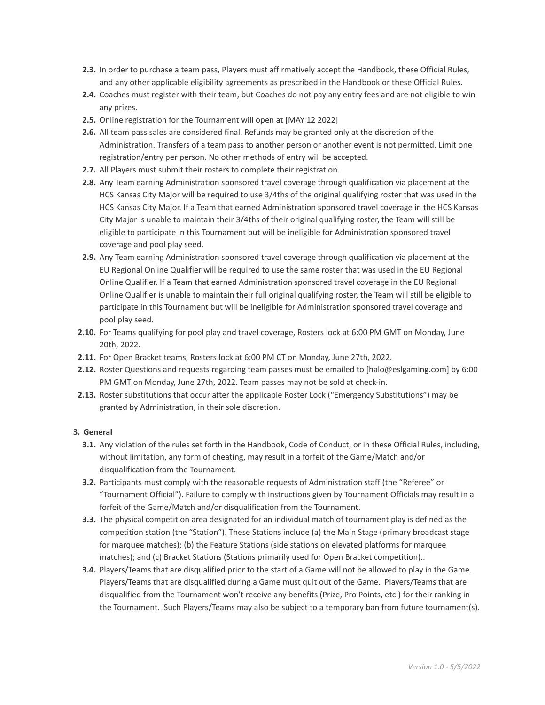- **2.3.** In order to purchase a team pass, Players must affirmatively accept the Handbook, these Official Rules, and any other applicable eligibility agreements as prescribed in the Handbook or these Official Rules.
- **2.4.** Coaches must register with their team, but Coaches do not pay any entry fees and are not eligible to win any prizes.
- **2.5.** Online registration for the Tournament will open at [MAY 12 2022]
- **2.6.** All team pass sales are considered final. Refunds may be granted only at the discretion of the Administration. Transfers of a team pass to another person or another event is not permitted. Limit one registration/entry per person. No other methods of entry will be accepted.
- **2.7.** All Players must submit their rosters to complete their registration.
- **2.8.** Any Team earning Administration sponsored travel coverage through qualification via placement at the HCS Kansas City Major will be required to use 3/4ths of the original qualifying roster that was used in the HCS Kansas City Major. If a Team that earned Administration sponsored travel coverage in the HCS Kansas City Major is unable to maintain their 3/4ths of their original qualifying roster, the Team will still be eligible to participate in this Tournament but will be ineligible for Administration sponsored travel coverage and pool play seed.
- **2.9.** Any Team earning Administration sponsored travel coverage through qualification via placement at the EU Regional Online Qualifier will be required to use the same roster that was used in the EU Regional Online Qualifier. If a Team that earned Administration sponsored travel coverage in the EU Regional Online Qualifier is unable to maintain their full original qualifying roster, the Team will still be eligible to participate in this Tournament but will be ineligible for Administration sponsored travel coverage and pool play seed.
- **2.10.** For Teams qualifying for pool play and travel coverage, Rosters lock at 6:00 PM GMT on Monday, June 20th, 2022.
- **2.11.** For Open Bracket teams, Rosters lock at 6:00 PM CT on Monday, June 27th, 2022.
- **2.12.** Roster Questions and requests regarding team passes must be emailed to [halo@eslgaming.com] by 6:00 PM GMT on Monday, June 27th, 2022. Team passes may not be sold at check-in.
- **2.13.** Roster substitutions that occur after the applicable Roster Lock ("Emergency Substitutions") may be granted by Administration, in their sole discretion.

### **3. General**

- **3.1.** Any violation of the rules set forth in the Handbook, Code of Conduct, or in these Official Rules, including, without limitation, any form of cheating, may result in a forfeit of the Game/Match and/or disqualification from the Tournament.
- **3.2.** Participants must comply with the reasonable requests of Administration staff (the "Referee" or "Tournament Official"). Failure to comply with instructions given by Tournament Officials may result in a forfeit of the Game/Match and/or disqualification from the Tournament.
- **3.3.** The physical competition area designated for an individual match of tournament play is defined as the competition station (the "Station"). These Stations include (a) the Main Stage (primary broadcast stage for marquee matches); (b) the Feature Stations (side stations on elevated platforms for marquee matches); and (c) Bracket Stations (Stations primarily used for Open Bracket competition)..
- **3.4.** Players/Teams that are disqualified prior to the start of a Game will not be allowed to play in the Game. Players/Teams that are disqualified during a Game must quit out of the Game. Players/Teams that are disqualified from the Tournament won't receive any benefits (Prize, Pro Points, etc.) for their ranking in the Tournament. Such Players/Teams may also be subject to a temporary ban from future tournament(s).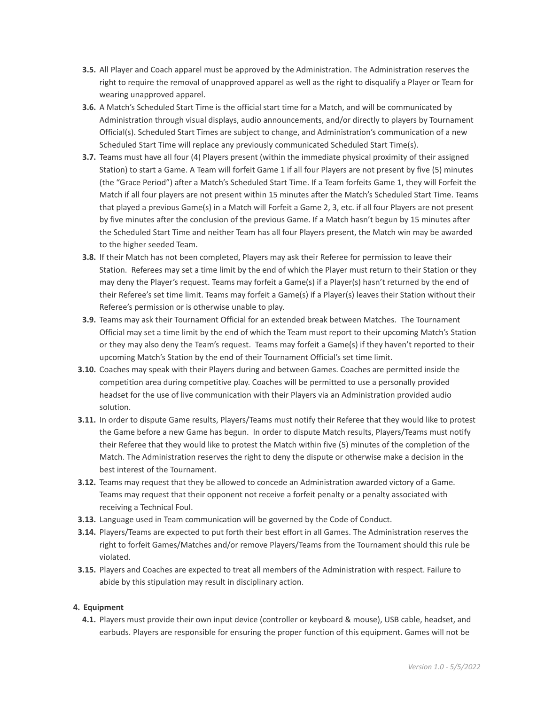- **3.5.** All Player and Coach apparel must be approved by the Administration. The Administration reserves the right to require the removal of unapproved apparel as well as the right to disqualify a Player or Team for wearing unapproved apparel.
- **3.6.** A Match's Scheduled Start Time is the official start time for a Match, and will be communicated by Administration through visual displays, audio announcements, and/or directly to players by Tournament Official(s). Scheduled Start Times are subject to change, and Administration's communication of a new Scheduled Start Time will replace any previously communicated Scheduled Start Time(s).
- **3.7.** Teams must have all four (4) Players present (within the immediate physical proximity of their assigned Station) to start a Game. A Team will forfeit Game 1 if all four Players are not present by five (5) minutes (the "Grace Period") after a Match's Scheduled Start Time. If a Team forfeits Game 1, they will Forfeit the Match if all four players are not present within 15 minutes after the Match's Scheduled Start Time. Teams that played a previous Game(s) in a Match will Forfeit a Game 2, 3, etc. if all four Players are not present by five minutes after the conclusion of the previous Game. If a Match hasn't begun by 15 minutes after the Scheduled Start Time and neither Team has all four Players present, the Match win may be awarded to the higher seeded Team.
- **3.8.** If their Match has not been completed, Players may ask their Referee for permission to leave their Station. Referees may set a time limit by the end of which the Player must return to their Station or they may deny the Player's request. Teams may forfeit a Game(s) if a Player(s) hasn't returned by the end of their Referee's set time limit. Teams may forfeit a Game(s) if a Player(s) leaves their Station without their Referee's permission or is otherwise unable to play.
- **3.9.** Teams may ask their Tournament Official for an extended break between Matches. The Tournament Official may set a time limit by the end of which the Team must report to their upcoming Match's Station or they may also deny the Team's request. Teams may forfeit a Game(s) if they haven't reported to their upcoming Match's Station by the end of their Tournament Official's set time limit.
- **3.10.** Coaches may speak with their Players during and between Games. Coaches are permitted inside the competition area during competitive play. Coaches will be permitted to use a personally provided headset for the use of live communication with their Players via an Administration provided audio solution.
- **3.11.** In order to dispute Game results, Players/Teams must notify their Referee that they would like to protest the Game before a new Game has begun. In order to dispute Match results, Players/Teams must notify their Referee that they would like to protest the Match within five (5) minutes of the completion of the Match. The Administration reserves the right to deny the dispute or otherwise make a decision in the best interest of the Tournament.
- **3.12.** Teams may request that they be allowed to concede an Administration awarded victory of a Game. Teams may request that their opponent not receive a forfeit penalty or a penalty associated with receiving a Technical Foul.
- **3.13.** Language used in Team communication will be governed by the Code of Conduct.
- **3.14.** Players/Teams are expected to put forth their best effort in all Games. The Administration reserves the right to forfeit Games/Matches and/or remove Players/Teams from the Tournament should this rule be violated.
- **3.15.** Players and Coaches are expected to treat all members of the Administration with respect. Failure to abide by this stipulation may result in disciplinary action.

# **4. Equipment**

**4.1.** Players must provide their own input device (controller or keyboard & mouse), USB cable, headset, and earbuds. Players are responsible for ensuring the proper function of this equipment. Games will not be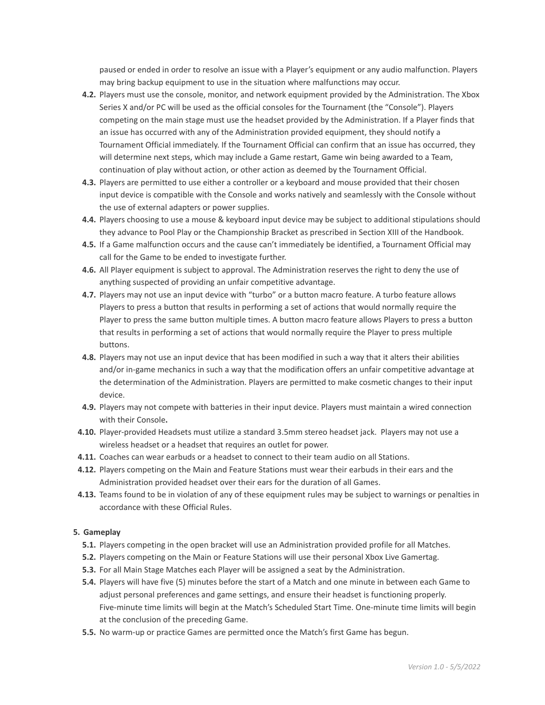paused or ended in order to resolve an issue with a Player's equipment or any audio malfunction. Players may bring backup equipment to use in the situation where malfunctions may occur.

- **4.2.** Players must use the console, monitor, and network equipment provided by the Administration. The Xbox Series X and/or PC will be used as the official consoles for the Tournament (the "Console"). Players competing on the main stage must use the headset provided by the Administration. If a Player finds that an issue has occurred with any of the Administration provided equipment, they should notify a Tournament Official immediately. If the Tournament Official can confirm that an issue has occurred, they will determine next steps, which may include a Game restart, Game win being awarded to a Team, continuation of play without action, or other action as deemed by the Tournament Official.
- **4.3.** Players are permitted to use either a controller or a keyboard and mouse provided that their chosen input device is compatible with the Console and works natively and seamlessly with the Console without the use of external adapters or power supplies.
- **4.4.** Players choosing to use a mouse & keyboard input device may be subject to additional stipulations should they advance to Pool Play or the Championship Bracket as prescribed in Section XIII of the Handbook.
- **4.5.** If a Game malfunction occurs and the cause can't immediately be identified, a Tournament Official may call for the Game to be ended to investigate further.
- **4.6.** All Player equipment is subject to approval. The Administration reserves the right to deny the use of anything suspected of providing an unfair competitive advantage.
- **4.7.** Players may not use an input device with "turbo" or a button macro feature. A turbo feature allows Players to press a button that results in performing a set of actions that would normally require the Player to press the same button multiple times. A button macro feature allows Players to press a button that results in performing a set of actions that would normally require the Player to press multiple buttons.
- **4.8.** Players may not use an input device that has been modified in such a way that it alters their abilities and/or in-game mechanics in such a way that the modification offers an unfair competitive advantage at the determination of the Administration. Players are permitted to make cosmetic changes to their input device.
- **4.9.** Players may not compete with batteries in their input device. Players must maintain a wired connection with their Console**.**
- **4.10.** Player-provided Headsets must utilize a standard 3.5mm stereo headset jack. Players may not use a wireless headset or a headset that requires an outlet for power.
- **4.11.** Coaches can wear earbuds or a headset to connect to their team audio on all Stations.
- **4.12.** Players competing on the Main and Feature Stations must wear their earbuds in their ears and the Administration provided headset over their ears for the duration of all Games.
- **4.13.** Teams found to be in violation of any of these equipment rules may be subject to warnings or penalties in accordance with these Official Rules.

# **5. Gameplay**

- **5.1.** Players competing in the open bracket will use an Administration provided profile for all Matches.
- **5.2.** Players competing on the Main or Feature Stations will use their personal Xbox Live Gamertag.
- **5.3.** For all Main Stage Matches each Player will be assigned a seat by the Administration.
- **5.4.** Players will have five (5) minutes before the start of a Match and one minute in between each Game to adjust personal preferences and game settings, and ensure their headset is functioning properly. Five-minute time limits will begin at the Match's Scheduled Start Time. One-minute time limits will begin at the conclusion of the preceding Game.
- **5.5.** No warm-up or practice Games are permitted once the Match's first Game has begun.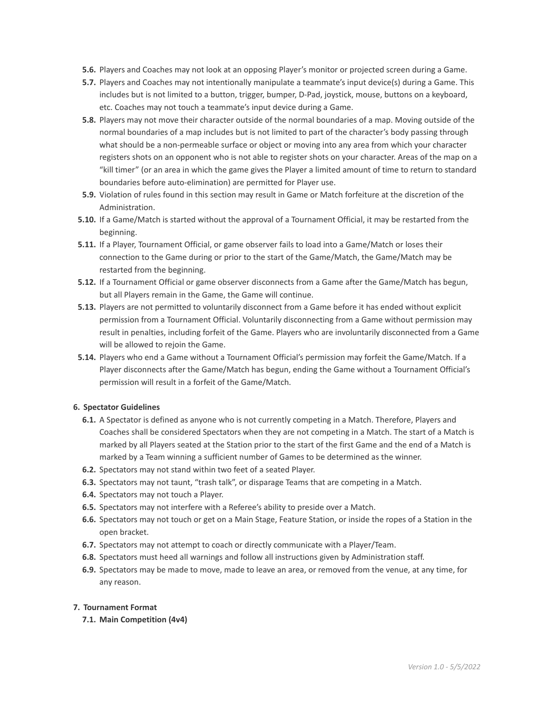- **5.6.** Players and Coaches may not look at an opposing Player's monitor or projected screen during a Game.
- **5.7.** Players and Coaches may not intentionally manipulate a teammate's input device(s) during a Game. This includes but is not limited to a button, trigger, bumper, D-Pad, joystick, mouse, buttons on a keyboard, etc. Coaches may not touch a teammate's input device during a Game.
- **5.8.** Players may not move their character outside of the normal boundaries of a map. Moving outside of the normal boundaries of a map includes but is not limited to part of the character's body passing through what should be a non-permeable surface or object or moving into any area from which your character registers shots on an opponent who is not able to register shots on your character. Areas of the map on a "kill timer" (or an area in which the game gives the Player a limited amount of time to return to standard boundaries before auto-elimination) are permitted for Player use.
- **5.9.** Violation of rules found in this section may result in Game or Match forfeiture at the discretion of the Administration.
- **5.10.** If a Game/Match is started without the approval of a Tournament Official, it may be restarted from the beginning.
- **5.11.** If a Player, Tournament Official, or game observer fails to load into a Game/Match or loses their connection to the Game during or prior to the start of the Game/Match, the Game/Match may be restarted from the beginning.
- **5.12.** If a Tournament Official or game observer disconnects from a Game after the Game/Match has begun, but all Players remain in the Game, the Game will continue.
- **5.13.** Players are not permitted to voluntarily disconnect from a Game before it has ended without explicit permission from a Tournament Official. Voluntarily disconnecting from a Game without permission may result in penalties, including forfeit of the Game. Players who are involuntarily disconnected from a Game will be allowed to rejoin the Game.
- **5.14.** Players who end a Game without a Tournament Official's permission may forfeit the Game/Match. If a Player disconnects after the Game/Match has begun, ending the Game without a Tournament Official's permission will result in a forfeit of the Game/Match.

### **6. Spectator Guidelines**

- **6.1.** A Spectator is defined as anyone who is not currently competing in a Match. Therefore, Players and Coaches shall be considered Spectators when they are not competing in a Match. The start of a Match is marked by all Players seated at the Station prior to the start of the first Game and the end of a Match is marked by a Team winning a sufficient number of Games to be determined as the winner.
- **6.2.** Spectators may not stand within two feet of a seated Player.
- **6.3.** Spectators may not taunt, "trash talk", or disparage Teams that are competing in a Match.
- **6.4.** Spectators may not touch a Player.
- **6.5.** Spectators may not interfere with a Referee's ability to preside over a Match.
- **6.6.** Spectators may not touch or get on a Main Stage, Feature Station, or inside the ropes of a Station in the open bracket.
- **6.7.** Spectators may not attempt to coach or directly communicate with a Player/Team.
- **6.8.** Spectators must heed all warnings and follow all instructions given by Administration staff.
- **6.9.** Spectators may be made to move, made to leave an area, or removed from the venue, at any time, for any reason.

# **7. Tournament Format**

**7.1. Main Competition (4v4)**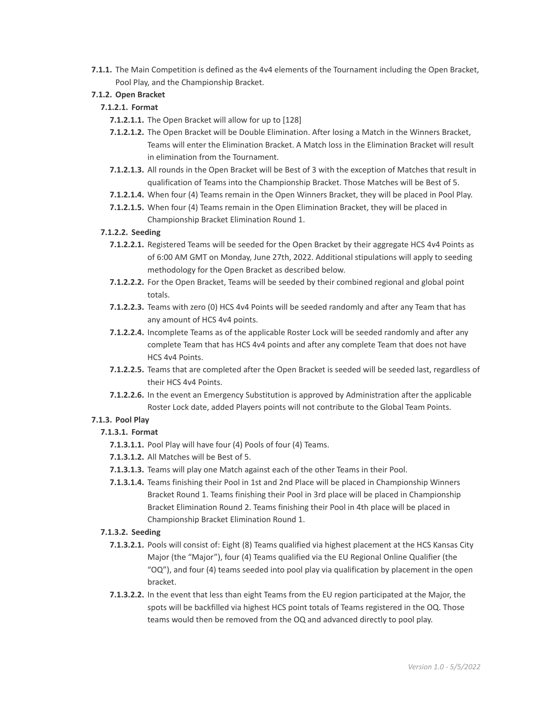**7.1.1.** The Main Competition is defined as the 4v4 elements of the Tournament including the Open Bracket, Pool Play, and the Championship Bracket.

# **7.1.2. Open Bracket**

# **7.1.2.1. Format**

- **7.1.2.1.1.** The Open Bracket will allow for up to [128]
- **7.1.2.1.2.** The Open Bracket will be Double Elimination. After losing a Match in the Winners Bracket, Teams will enter the Elimination Bracket. A Match loss in the Elimination Bracket will result in elimination from the Tournament.
- **7.1.2.1.3.** All rounds in the Open Bracket will be Best of 3 with the exception of Matches that result in qualification of Teams into the Championship Bracket. Those Matches will be Best of 5.
- **7.1.2.1.4.** When four (4) Teams remain in the Open Winners Bracket, they will be placed in Pool Play.
- **7.1.2.1.5.** When four (4) Teams remain in the Open Elimination Bracket, they will be placed in Championship Bracket Elimination Round 1.

# **7.1.2.2. Seeding**

- **7.1.2.2.1.** Registered Teams will be seeded for the Open Bracket by their aggregate HCS 4v4 Points as of 6:00 AM GMT on Monday, June 27th, 2022. Additional stipulations will apply to seeding methodology for the Open Bracket as described below.
- **7.1.2.2.2.** For the Open Bracket, Teams will be seeded by their combined regional and global point totals.
- **7.1.2.2.3.** Teams with zero (0) HCS 4v4 Points will be seeded randomly and after any Team that has any amount of HCS 4v4 points.
- **7.1.2.2.4.** Incomplete Teams as of the applicable Roster Lock will be seeded randomly and after any complete Team that has HCS 4v4 points and after any complete Team that does not have HCS 4v4 Points.
- **7.1.2.2.5.** Teams that are completed after the Open Bracket is seeded will be seeded last, regardless of their HCS 4v4 Points.
- **7.1.2.2.6.** In the event an Emergency Substitution is approved by Administration after the applicable Roster Lock date, added Players points will not contribute to the Global Team Points.

# **7.1.3. Pool Play**

# **7.1.3.1. Format**

- **7.1.3.1.1.** Pool Play will have four (4) Pools of four (4) Teams.
- **7.1.3.1.2.** All Matches will be Best of 5.
- **7.1.3.1.3.** Teams will play one Match against each of the other Teams in their Pool.
- **7.1.3.1.4.** Teams finishing their Pool in 1st and 2nd Place will be placed in Championship Winners Bracket Round 1. Teams finishing their Pool in 3rd place will be placed in Championship Bracket Elimination Round 2. Teams finishing their Pool in 4th place will be placed in Championship Bracket Elimination Round 1.

# **7.1.3.2. Seeding**

- **7.1.3.2.1.** Pools will consist of: Eight (8) Teams qualified via highest placement at the HCS Kansas City Major (the "Major"), four (4) Teams qualified via the EU Regional Online Qualifier (the "OQ"), and four (4) teams seeded into pool play via qualification by placement in the open bracket.
- **7.1.3.2.2.** In the event that less than eight Teams from the EU region participated at the Major, the spots will be backfilled via highest HCS point totals of Teams registered in the OQ. Those teams would then be removed from the OQ and advanced directly to pool play.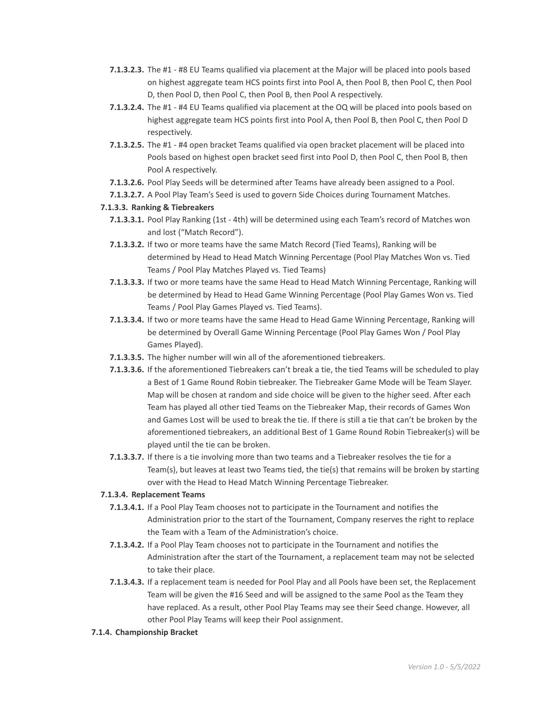- **7.1.3.2.3.** The #1 #8 EU Teams qualified via placement at the Major will be placed into pools based on highest aggregate team HCS points first into Pool A, then Pool B, then Pool C, then Pool D, then Pool D, then Pool C, then Pool B, then Pool A respectively.
- **7.1.3.2.4.** The #1 #4 EU Teams qualified via placement at the OQ will be placed into pools based on highest aggregate team HCS points first into Pool A, then Pool B, then Pool C, then Pool D respectively.
- **7.1.3.2.5.** The #1 #4 open bracket Teams qualified via open bracket placement will be placed into Pools based on highest open bracket seed first into Pool D, then Pool C, then Pool B, then Pool A respectively.
- **7.1.3.2.6.** Pool Play Seeds will be determined after Teams have already been assigned to a Pool.
- **7.1.3.2.7.** A Pool Play Team's Seed is used to govern Side Choices during Tournament Matches.

# **7.1.3.3. Ranking & Tiebreakers**

- **7.1.3.3.1.** Pool Play Ranking (1st 4th) will be determined using each Team's record of Matches won and lost ("Match Record").
- **7.1.3.3.2.** If two or more teams have the same Match Record (Tied Teams), Ranking will be determined by Head to Head Match Winning Percentage (Pool Play Matches Won vs. Tied Teams / Pool Play Matches Played vs. Tied Teams)
- **7.1.3.3.3.** If two or more teams have the same Head to Head Match Winning Percentage, Ranking will be determined by Head to Head Game Winning Percentage (Pool Play Games Won vs. Tied Teams / Pool Play Games Played vs. Tied Teams).
- **7.1.3.3.4.** If two or more teams have the same Head to Head Game Winning Percentage, Ranking will be determined by Overall Game Winning Percentage (Pool Play Games Won / Pool Play Games Played).
- **7.1.3.3.5.** The higher number will win all of the aforementioned tiebreakers.
- **7.1.3.3.6.** If the aforementioned Tiebreakers can't break a tie, the tied Teams will be scheduled to play a Best of 1 Game Round Robin tiebreaker. The Tiebreaker Game Mode will be Team Slayer. Map will be chosen at random and side choice will be given to the higher seed. After each Team has played all other tied Teams on the Tiebreaker Map, their records of Games Won and Games Lost will be used to break the tie. If there is still a tie that can't be broken by the aforementioned tiebreakers, an additional Best of 1 Game Round Robin Tiebreaker(s) will be played until the tie can be broken.
- **7.1.3.3.7.** If there is a tie involving more than two teams and a Tiebreaker resolves the tie for a Team(s), but leaves at least two Teams tied, the tie(s) that remains will be broken by starting over with the Head to Head Match Winning Percentage Tiebreaker.

### **7.1.3.4. Replacement Teams**

- **7.1.3.4.1.** If a Pool Play Team chooses not to participate in the Tournament and notifies the Administration prior to the start of the Tournament, Company reserves the right to replace the Team with a Team of the Administration's choice.
- **7.1.3.4.2.** If a Pool Play Team chooses not to participate in the Tournament and notifies the Administration after the start of the Tournament, a replacement team may not be selected to take their place.
- **7.1.3.4.3.** If a replacement team is needed for Pool Play and all Pools have been set, the Replacement Team will be given the #16 Seed and will be assigned to the same Pool as the Team they have replaced. As a result, other Pool Play Teams may see their Seed change. However, all other Pool Play Teams will keep their Pool assignment.
- **7.1.4. Championship Bracket**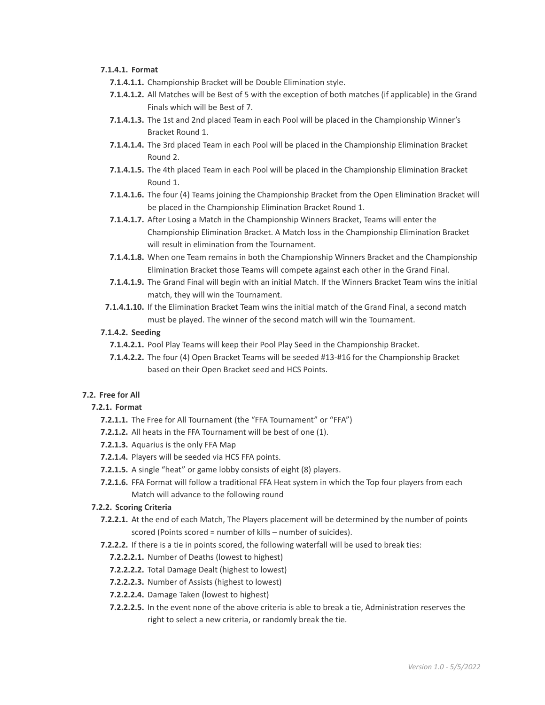## **7.1.4.1. Format**

**7.1.4.1.1.** Championship Bracket will be Double Elimination style.

- **7.1.4.1.2.** All Matches will be Best of 5 with the exception of both matches (if applicable) in the Grand Finals which will be Best of 7.
- **7.1.4.1.3.** The 1st and 2nd placed Team in each Pool will be placed in the Championship Winner's Bracket Round 1.
- **7.1.4.1.4.** The 3rd placed Team in each Pool will be placed in the Championship Elimination Bracket Round 2.
- **7.1.4.1.5.** The 4th placed Team in each Pool will be placed in the Championship Elimination Bracket Round 1.
- **7.1.4.1.6.** The four (4) Teams joining the Championship Bracket from the Open Elimination Bracket will be placed in the Championship Elimination Bracket Round 1.
- **7.1.4.1.7.** After Losing a Match in the Championship Winners Bracket, Teams will enter the Championship Elimination Bracket. A Match loss in the Championship Elimination Bracket will result in elimination from the Tournament.
- **7.1.4.1.8.** When one Team remains in both the Championship Winners Bracket and the Championship Elimination Bracket those Teams will compete against each other in the Grand Final.
- **7.1.4.1.9.** The Grand Final will begin with an initial Match. If the Winners Bracket Team wins the initial match, they will win the Tournament.
- **7.1.4.1.10.** If the Elimination Bracket Team wins the initial match of the Grand Final, a second match must be played. The winner of the second match will win the Tournament.

# **7.1.4.2. Seeding**

- **7.1.4.2.1.** Pool Play Teams will keep their Pool Play Seed in the Championship Bracket.
- **7.1.4.2.2.** The four (4) Open Bracket Teams will be seeded #13-#16 for the Championship Bracket based on their Open Bracket seed and HCS Points.

### **7.2. Free for All**

### **7.2.1. Format**

- **7.2.1.1.** The Free for All Tournament (the "FFA Tournament" or "FFA")
- **7.2.1.2.** All heats in the FFA Tournament will be best of one (1).
- **7.2.1.3.** Aquarius is the only FFA Map
- **7.2.1.4.** Players will be seeded via HCS FFA points.
- **7.2.1.5.** A single "heat" or game lobby consists of eight (8) players.
- **7.2.1.6.** FFA Format will follow a traditional FFA Heat system in which the Top four players from each Match will advance to the following round

## **7.2.2. Scoring Criteria**

- **7.2.2.1.** At the end of each Match, The Players placement will be determined by the number of points scored (Points scored = number of kills – number of suicides).
- **7.2.2.2.** If there is a tie in points scored, the following waterfall will be used to break ties:
	- **7.2.2.2.1.** Number of Deaths (lowest to highest)
	- **7.2.2.2.2.** Total Damage Dealt (highest to lowest)
	- **7.2.2.2.3.** Number of Assists (highest to lowest)
	- **7.2.2.2.4.** Damage Taken (lowest to highest)
	- **7.2.2.2.5.** In the event none of the above criteria is able to break a tie, Administration reserves the right to select a new criteria, or randomly break the tie.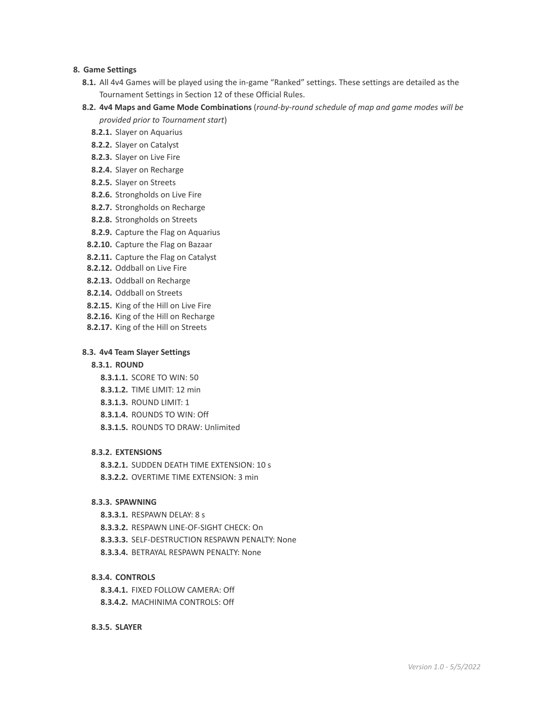### **8. Game Settings**

- **8.1.** All 4v4 Games will be played using the in-game "Ranked" settings. These settings are detailed as the Tournament Settings in Section 12 of these Official Rules.
- **8.2. 4v4 Maps and Game Mode Combinations** (*round-by-round schedule of map and game modes will be provided prior to Tournament start*)
	- **8.2.1.** Slayer on Aquarius
	- **8.2.2.** Slayer on Catalyst
	- **8.2.3.** Slayer on Live Fire
	- **8.2.4.** Slayer on Recharge
	- **8.2.5.** Slayer on Streets
	- **8.2.6.** Strongholds on Live Fire
	- **8.2.7.** Strongholds on Recharge
	- **8.2.8.** Strongholds on Streets
	- **8.2.9.** Capture the Flag on Aquarius
- **8.2.10.** Capture the Flag on Bazaar
- **8.2.11.** Capture the Flag on Catalyst
- **8.2.12.** Oddball on Live Fire
- **8.2.13.** Oddball on Recharge
- **8.2.14.** Oddball on Streets
- **8.2.15.** King of the Hill on Live Fire
- **8.2.16.** King of the Hill on Recharge
- **8.2.17.** King of the Hill on Streets

## **8.3. 4v4 Team Slayer Settings**

# **8.3.1. ROUND**

- **8.3.1.1.** SCORE TO WIN: 50
- **8.3.1.2.** TIME LIMIT: 12 min
- **8.3.1.3.** ROUND LIMIT: 1
- **8.3.1.4.** ROUNDS TO WIN: Off
- **8.3.1.5.** ROUNDS TO DRAW: Unlimited

### **8.3.2. EXTENSIONS**

**8.3.2.1.** SUDDEN DEATH TIME EXTENSION: 10 s **8.3.2.2.** OVERTIME TIME EXTENSION: 3 min

## **8.3.3. SPAWNING**

- **8.3.3.1.** RESPAWN DELAY: 8 s
- **8.3.3.2.** RESPAWN LINE-OF-SIGHT CHECK: On
- **8.3.3.3.** SELF-DESTRUCTION RESPAWN PENALTY: None
- **8.3.3.4.** BETRAYAL RESPAWN PENALTY: None

### **8.3.4. CONTROLS**

**8.3.4.1.** FIXED FOLLOW CAMERA: Off **8.3.4.2.** MACHINIMA CONTROLS: Off

## **8.3.5. SLAYER**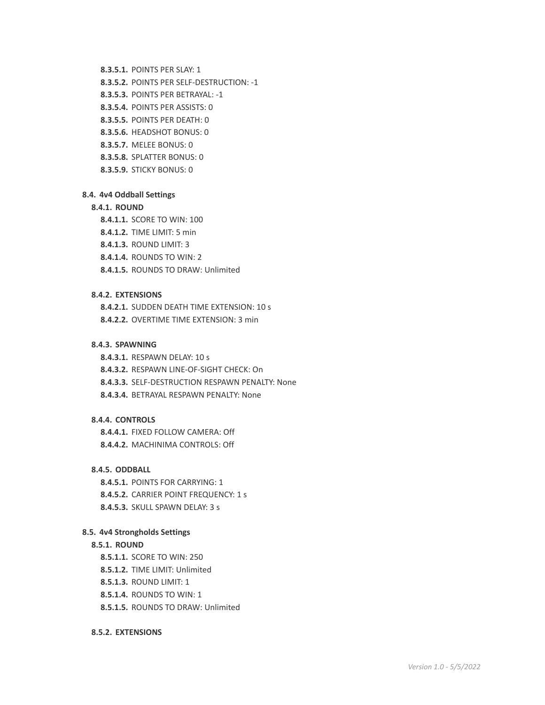#### **8.3.5.1.** POINTS PER SLAY: 1

- **8.3.5.2.** POINTS PER SELF-DESTRUCTION: -1
- **8.3.5.3.** POINTS PER BETRAYAL: -1
- **8.3.5.4.** POINTS PER ASSISTS: 0
- **8.3.5.5.** POINTS PER DEATH: 0
- **8.3.5.6.** HEADSHOT BONUS: 0
- **8.3.5.7.** MELEE BONUS: 0
- **8.3.5.8.** SPLATTER BONUS: 0
- **8.3.5.9.** STICKY BONUS: 0

#### **8.4. 4v4 Oddball Settings**

## **8.4.1. ROUND**

- **8.4.1.1.** SCORE TO WIN: 100
- **8.4.1.2.** TIME LIMIT: 5 min
- **8.4.1.3.** ROUND LIMIT: 3
- **8.4.1.4.** ROUNDS TO WIN: 2
- **8.4.1.5.** ROUNDS TO DRAW: Unlimited

### **8.4.2. EXTENSIONS**

**8.4.2.1.** SUDDEN DEATH TIME EXTENSION: 10 s **8.4.2.2.** OVERTIME TIME EXTENSION: 3 min

#### **8.4.3. SPAWNING**

**8.4.3.1.** RESPAWN DELAY: 10 s

- **8.4.3.2.** RESPAWN LINE-OF-SIGHT CHECK: On
- **8.4.3.3.** SELF-DESTRUCTION RESPAWN PENALTY: None
- **8.4.3.4.** BETRAYAL RESPAWN PENALTY: None

# **8.4.4. CONTROLS**

**8.4.4.1.** FIXED FOLLOW CAMERA: Off **8.4.4.2.** MACHINIMA CONTROLS: Off

### **8.4.5. ODDBALL**

**8.4.5.1.** POINTS FOR CARRYING: 1 **8.4.5.2.** CARRIER POINT FREQUENCY: 1 s **8.4.5.3.** SKULL SPAWN DELAY: 3 s

#### **8.5. 4v4 Strongholds Settings**

### **8.5.1. ROUND**

- **8.5.1.1.** SCORE TO WIN: 250
- **8.5.1.2.** TIME LIMIT: Unlimited
- **8.5.1.3.** ROUND LIMIT: 1
- **8.5.1.4.** ROUNDS TO WIN: 1
- **8.5.1.5.** ROUNDS TO DRAW: Unlimited

#### **8.5.2. EXTENSIONS**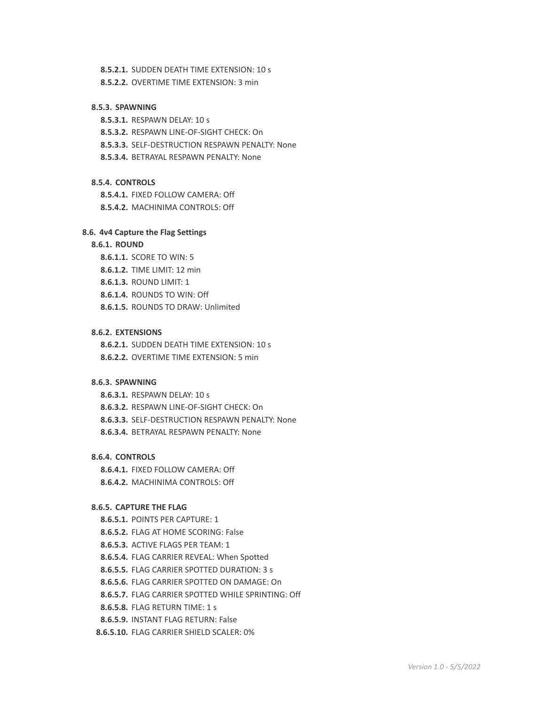#### **8.5.2.1.** SUDDEN DEATH TIME EXTENSION: 10 s

**8.5.2.2.** OVERTIME TIME EXTENSION: 3 min

## **8.5.3. SPAWNING**

**8.5.3.1.** RESPAWN DELAY: 10 s

**8.5.3.2.** RESPAWN LINE-OF-SIGHT CHECK: On

**8.5.3.3.** SELF-DESTRUCTION RESPAWN PENALTY: None

**8.5.3.4.** BETRAYAL RESPAWN PENALTY: None

## **8.5.4. CONTROLS**

**8.5.4.1.** FIXED FOLLOW CAMERA: Off

**8.5.4.2.** MACHINIMA CONTROLS: Off

## **8.6. 4v4 Capture the Flag Settings**

# **8.6.1. ROUND**

**8.6.1.1.** SCORE TO WIN: 5

**8.6.1.2.** TIME LIMIT: 12 min

**8.6.1.3.** ROUND LIMIT: 1

**8.6.1.4.** ROUNDS TO WIN: Off

**8.6.1.5.** ROUNDS TO DRAW: Unlimited

### **8.6.2. EXTENSIONS**

**8.6.2.1.** SUDDEN DEATH TIME EXTENSION: 10 s **8.6.2.2.** OVERTIME TIME EXTENSION: 5 min

## **8.6.3. SPAWNING**

**8.6.3.1.** RESPAWN DELAY: 10 s

**8.6.3.2.** RESPAWN LINE-OF-SIGHT CHECK: On

**8.6.3.3.** SELF-DESTRUCTION RESPAWN PENALTY: None

**8.6.3.4.** BETRAYAL RESPAWN PENALTY: None

## **8.6.4. CONTROLS**

**8.6.4.1.** FIXED FOLLOW CAMERA: Off **8.6.4.2.** MACHINIMA CONTROLS: Off

## **8.6.5. CAPTURE THE FLAG**

**8.6.5.1.** POINTS PER CAPTURE: 1

**8.6.5.2.** FLAG AT HOME SCORING: False

- **8.6.5.3.** ACTIVE FLAGS PER TEAM: 1
- **8.6.5.4.** FLAG CARRIER REVEAL: When Spotted

**8.6.5.5.** FLAG CARRIER SPOTTED DURATION: 3 s

**8.6.5.6.** FLAG CARRIER SPOTTED ON DAMAGE: On

**8.6.5.7.** FLAG CARRIER SPOTTED WHILE SPRINTING: Off

**8.6.5.8.** FLAG RETURN TIME: 1 s

**8.6.5.9.** INSTANT FLAG RETURN: False

**8.6.5.10.** FLAG CARRIER SHIELD SCALER: 0%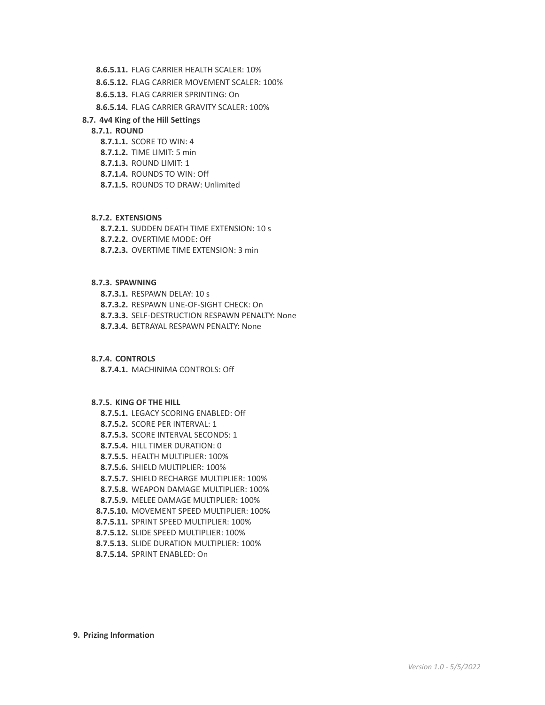- **8.6.5.11.** FLAG CARRIER HEALTH SCALER: 10%
- **8.6.5.12.** FLAG CARRIER MOVEMENT SCALER: 100%
- **8.6.5.13.** FLAG CARRIER SPRINTING: On

**8.6.5.14.** FLAG CARRIER GRAVITY SCALER: 100%

### **8.7. 4v4 King of the Hill Settings**

## **8.7.1. ROUND**

- **8.7.1.1.** SCORE TO WIN: 4
- **8.7.1.2.** TIME LIMIT: 5 min
- **8.7.1.3.** ROUND LIMIT: 1
- **8.7.1.4.** ROUNDS TO WIN: Off
- **8.7.1.5.** ROUNDS TO DRAW: Unlimited

### **8.7.2. EXTENSIONS**

**8.7.2.1.** SUDDEN DEATH TIME EXTENSION: 10 s

- **8.7.2.2.** OVERTIME MODE: Off
- **8.7.2.3.** OVERTIME TIME EXTENSION: 3 min

#### **8.7.3. SPAWNING**

**8.7.3.1.** RESPAWN DELAY: 10 s **8.7.3.2.** RESPAWN LINE-OF-SIGHT CHECK: On **8.7.3.3.** SELF-DESTRUCTION RESPAWN PENALTY: None **8.7.3.4.** BETRAYAL RESPAWN PENALTY: None

#### **8.7.4. CONTROLS**

**8.7.4.1.** MACHINIMA CONTROLS: Off

#### **8.7.5. KING OF THE HILL**

- **8.7.5.1.** LEGACY SCORING ENABLED: Off
- **8.7.5.2.** SCORE PER INTERVAL: 1
- **8.7.5.3.** SCORE INTERVAL SECONDS: 1
- **8.7.5.4.** HILL TIMER DURATION: 0
- **8.7.5.5.** HEALTH MULTIPLIER: 100%
- **8.7.5.6.** SHIELD MULTIPLIER: 100%
- **8.7.5.7.** SHIELD RECHARGE MULTIPLIER: 100%
- **8.7.5.8.** WEAPON DAMAGE MULTIPLIER: 100%
- **8.7.5.9.** MELEE DAMAGE MULTIPLIER: 100%
- **8.7.5.10.** MOVEMENT SPEED MULTIPLIER: 100%
- **8.7.5.11.** SPRINT SPEED MULTIPLIER: 100%
- **8.7.5.12.** SLIDE SPEED MULTIPLIER: 100%
- **8.7.5.13.** SLIDE DURATION MULTIPLIER: 100%
- **8.7.5.14.** SPRINT ENABLED: On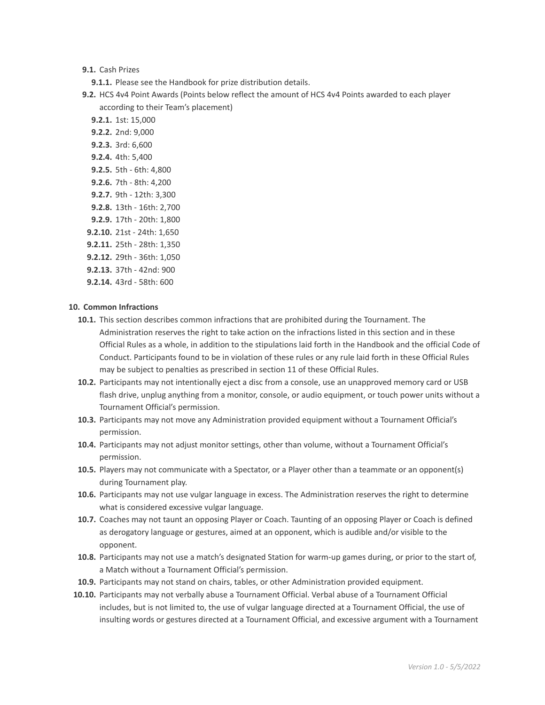**9.1.** Cash Prizes

- **9.1.1.** Please see the Handbook for prize distribution details.
- **9.2.** HCS 4v4 Point Awards (Points below reflect the amount of HCS 4v4 Points awarded to each player according to their Team's placement)

**9.2.1.** 1st: 15,000 **9.2.2.** 2nd: 9,000 **9.2.3.** 3rd: 6,600 **9.2.4.** 4th: 5,400 **9.2.5.** 5th - 6th: 4,800 **9.2.6.** 7th - 8th: 4,200 **9.2.7.** 9th - 12th: 3,300 **9.2.8.** 13th - 16th: 2,700 **9.2.9.** 17th - 20th: 1,800 **9.2.10.** 21st - 24th: 1,650 **9.2.11.** 25th - 28th: 1,350 **9.2.12.** 29th - 36th: 1,050 **9.2.13.** 37th - 42nd: 900

**9.2.14.** 43rd - 58th: 600

## **10. Common Infractions**

- **10.1.** This section describes common infractions that are prohibited during the Tournament. The Administration reserves the right to take action on the infractions listed in this section and in these Official Rules as a whole, in addition to the stipulations laid forth in the Handbook and the official Code of Conduct. Participants found to be in violation of these rules or any rule laid forth in these Official Rules may be subject to penalties as prescribed in section 11 of these Official Rules.
- **10.2.** Participants may not intentionally eject a disc from a console, use an unapproved memory card or USB flash drive, unplug anything from a monitor, console, or audio equipment, or touch power units without a Tournament Official's permission.
- **10.3.** Participants may not move any Administration provided equipment without a Tournament Official's permission.
- **10.4.** Participants may not adjust monitor settings, other than volume, without a Tournament Official's permission.
- **10.5.** Players may not communicate with a Spectator, or a Player other than a teammate or an opponent(s) during Tournament play.
- **10.6.** Participants may not use vulgar language in excess. The Administration reserves the right to determine what is considered excessive vulgar language.
- **10.7.** Coaches may not taunt an opposing Player or Coach. Taunting of an opposing Player or Coach is defined as derogatory language or gestures, aimed at an opponent, which is audible and/or visible to the opponent.
- **10.8.** Participants may not use a match's designated Station for warm-up games during, or prior to the start of, a Match without a Tournament Official's permission.
- **10.9.** Participants may not stand on chairs, tables, or other Administration provided equipment.
- **10.10.** Participants may not verbally abuse a Tournament Official. Verbal abuse of a Tournament Official includes, but is not limited to, the use of vulgar language directed at a Tournament Official, the use of insulting words or gestures directed at a Tournament Official, and excessive argument with a Tournament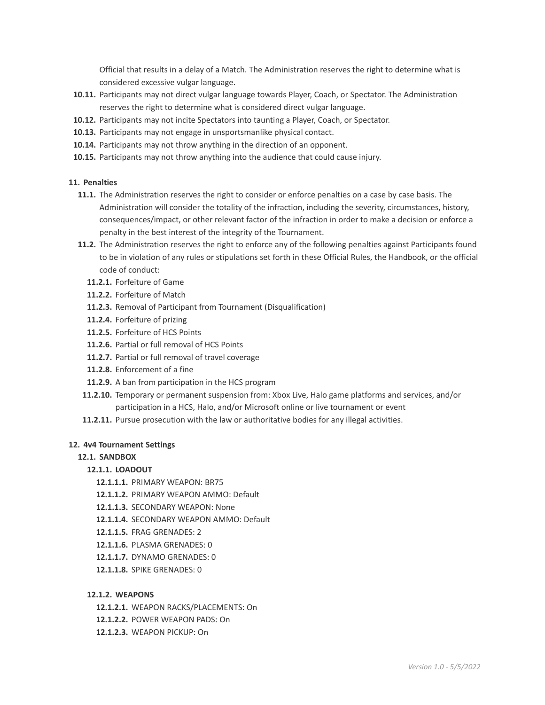Official that results in a delay of a Match. The Administration reserves the right to determine what is considered excessive vulgar language.

- **10.11.** Participants may not direct vulgar language towards Player, Coach, or Spectator. The Administration reserves the right to determine what is considered direct vulgar language.
- **10.12.** Participants may not incite Spectators into taunting a Player, Coach, or Spectator.
- **10.13.** Participants may not engage in unsportsmanlike physical contact.
- **10.14.** Participants may not throw anything in the direction of an opponent.
- **10.15.** Participants may not throw anything into the audience that could cause injury.

## **11. Penalties**

- **11.1.** The Administration reserves the right to consider or enforce penalties on a case by case basis. The Administration will consider the totality of the infraction, including the severity, circumstances, history, consequences/impact, or other relevant factor of the infraction in order to make a decision or enforce a penalty in the best interest of the integrity of the Tournament.
- **11.2.** The Administration reserves the right to enforce any of the following penalties against Participants found to be in violation of any rules or stipulations set forth in these Official Rules, the Handbook, or the official code of conduct:
	- **11.2.1.** Forfeiture of Game
	- **11.2.2.** Forfeiture of Match
	- **11.2.3.** Removal of Participant from Tournament (Disqualification)
	- **11.2.4.** Forfeiture of prizing
	- **11.2.5.** Forfeiture of HCS Points
	- **11.2.6.** Partial or full removal of HCS Points
	- **11.2.7.** Partial or full removal of travel coverage
	- **11.2.8.** Enforcement of a fine
	- **11.2.9.** A ban from participation in the HCS program
- **11.2.10.** Temporary or permanent suspension from: Xbox Live, Halo game platforms and services, and/or participation in a HCS, Halo, and/or Microsoft online or live tournament or event
- **11.2.11.** Pursue prosecution with the law or authoritative bodies for any illegal activities.

# **12. 4v4 Tournament Settings**

# **12.1. SANDBOX**

# **12.1.1. LOADOUT**

- **12.1.1.1.** PRIMARY WEAPON: BR75
- **12.1.1.2.** PRIMARY WEAPON AMMO: Default
- **12.1.1.3.** SECONDARY WEAPON: None
- **12.1.1.4.** SECONDARY WEAPON AMMO: Default
- **12.1.1.5.** FRAG GRENADES: 2
- **12.1.1.6.** PLASMA GRENADES: 0
- **12.1.1.7.** DYNAMO GRENADES: 0
- **12.1.1.8.** SPIKE GRENADES: 0

### **12.1.2. WEAPONS**

- **12.1.2.1.** WEAPON RACKS/PLACEMENTS: On
- **12.1.2.2.** POWER WEAPON PADS: On
- **12.1.2.3.** WEAPON PICKUP: On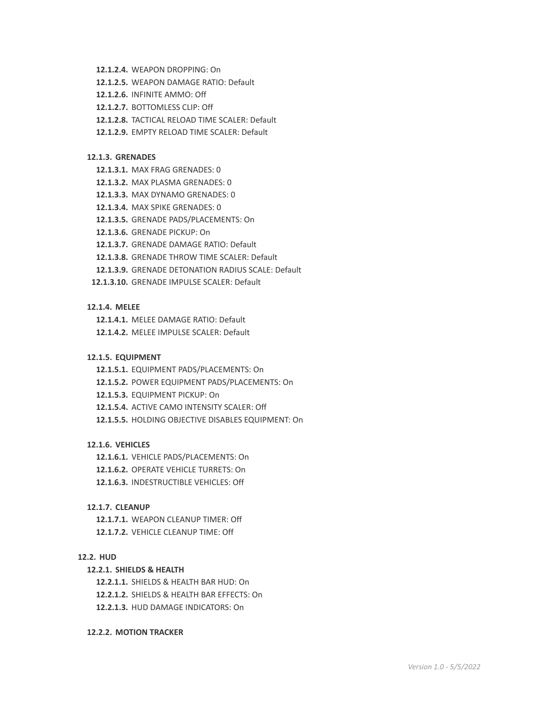- **12.1.2.4.** WEAPON DROPPING: On
- **12.1.2.5.** WEAPON DAMAGE RATIO: Default
- **12.1.2.6.** INFINITE AMMO: Off
- **12.1.2.7.** BOTTOMLESS CLIP: Off
- **12.1.2.8.** TACTICAL RELOAD TIME SCALER: Default
- **12.1.2.9.** EMPTY RELOAD TIME SCALER: Default

#### **12.1.3. GRENADES**

- **12.1.3.1.** MAX FRAG GRENADES: 0
- **12.1.3.2.** MAX PLASMA GRENADES: 0
- **12.1.3.3.** MAX DYNAMO GRENADES: 0
- **12.1.3.4.** MAX SPIKE GRENADES: 0
- **12.1.3.5.** GRENADE PADS/PLACEMENTS: On
- **12.1.3.6.** GRENADE PICKUP: On
- **12.1.3.7.** GRENADE DAMAGE RATIO: Default
- **12.1.3.8.** GRENADE THROW TIME SCALER: Default
- **12.1.3.9.** GRENADE DETONATION RADIUS SCALE: Default
- **12.1.3.10.** GRENADE IMPULSE SCALER: Default

### **12.1.4. MELEE**

**12.1.4.1.** MELEE DAMAGE RATIO: Default

**12.1.4.2.** MELEE IMPULSE SCALER: Default

### **12.1.5. EQUIPMENT**

- **12.1.5.1.** EQUIPMENT PADS/PLACEMENTS: On
- **12.1.5.2.** POWER EQUIPMENT PADS/PLACEMENTS: On
- **12.1.5.3.** EQUIPMENT PICKUP: On
- **12.1.5.4.** ACTIVE CAMO INTENSITY SCALER: Off
- **12.1.5.5.** HOLDING OBJECTIVE DISABLES EQUIPMENT: On

### **12.1.6. VEHICLES**

- **12.1.6.1.** VEHICLE PADS/PLACEMENTS: On
- **12.1.6.2.** OPERATE VEHICLE TURRETS: On
- **12.1.6.3.** INDESTRUCTIBLE VEHICLES: Off

#### **12.1.7. CLEANUP**

**12.1.7.1.** WEAPON CLEANUP TIMER: Off **12.1.7.2.** VEHICLE CLEANUP TIME: Off

#### **12.2. HUD**

#### **12.2.1. SHIELDS & HEALTH**

**12.2.1.1.** SHIELDS & HEALTH BAR HUD: On

**12.2.1.2.** SHIELDS & HEALTH BAR EFFECTS: On

**12.2.1.3.** HUD DAMAGE INDICATORS: On

#### **12.2.2. MOTION TRACKER**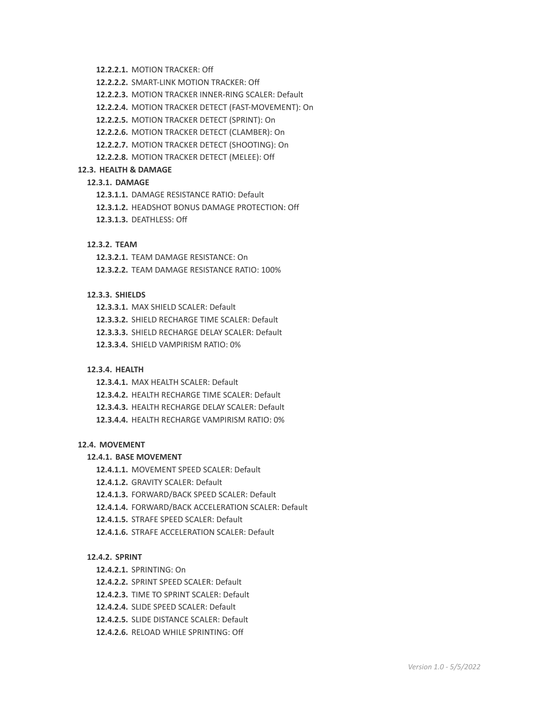- **12.2.2.1.** MOTION TRACKER: Off
- **12.2.2.2.** SMART-LINK MOTION TRACKER: Off
- **12.2.2.3.** MOTION TRACKER INNER-RING SCALER: Default
- **12.2.2.4.** MOTION TRACKER DETECT (FAST-MOVEMENT): On
- **12.2.2.5.** MOTION TRACKER DETECT (SPRINT): On
- **12.2.2.6.** MOTION TRACKER DETECT (CLAMBER): On
- **12.2.2.7.** MOTION TRACKER DETECT (SHOOTING): On
- **12.2.2.8.** MOTION TRACKER DETECT (MELEE): Off

#### **12.3. HEALTH & DAMAGE**

# **12.3.1. DAMAGE**

- **12.3.1.1.** DAMAGE RESISTANCE RATIO: Default
- **12.3.1.2.** HEADSHOT BONUS DAMAGE PROTECTION: Off
- **12.3.1.3.** DEATHLESS: Off

## **12.3.2. TEAM**

**12.3.2.1.** TEAM DAMAGE RESISTANCE: On

**12.3.2.2.** TEAM DAMAGE RESISTANCE RATIO: 100%

## **12.3.3. SHIELDS**

- **12.3.3.1.** MAX SHIELD SCALER: Default
- **12.3.3.2.** SHIELD RECHARGE TIME SCALER: Default
- **12.3.3.3.** SHIELD RECHARGE DELAY SCALER: Default
- **12.3.3.4.** SHIELD VAMPIRISM RATIO: 0%

#### **12.3.4. HEALTH**

- **12.3.4.1.** MAX HEALTH SCALER: Default
- **12.3.4.2.** HEALTH RECHARGE TIME SCALER: Default
- **12.3.4.3.** HEALTH RECHARGE DELAY SCALER: Default
- **12.3.4.4.** HEALTH RECHARGE VAMPIRISM RATIO: 0%

#### **12.4. MOVEMENT**

#### **12.4.1. BASE MOVEMENT**

- **12.4.1.1.** MOVEMENT SPEED SCALER: Default
- **12.4.1.2.** GRAVITY SCALER: Default
- **12.4.1.3.** FORWARD/BACK SPEED SCALER: Default
- **12.4.1.4.** FORWARD/BACK ACCELERATION SCALER: Default
- **12.4.1.5.** STRAFE SPEED SCALER: Default
- **12.4.1.6.** STRAFE ACCELERATION SCALER: Default

## **12.4.2. SPRINT**

- **12.4.2.1.** SPRINTING: On
- **12.4.2.2.** SPRINT SPEED SCALER: Default
- **12.4.2.3.** TIME TO SPRINT SCALER: Default
- **12.4.2.4.** SLIDE SPEED SCALER: Default
- **12.4.2.5.** SLIDE DISTANCE SCALER: Default
- **12.4.2.6.** RELOAD WHILE SPRINTING: Off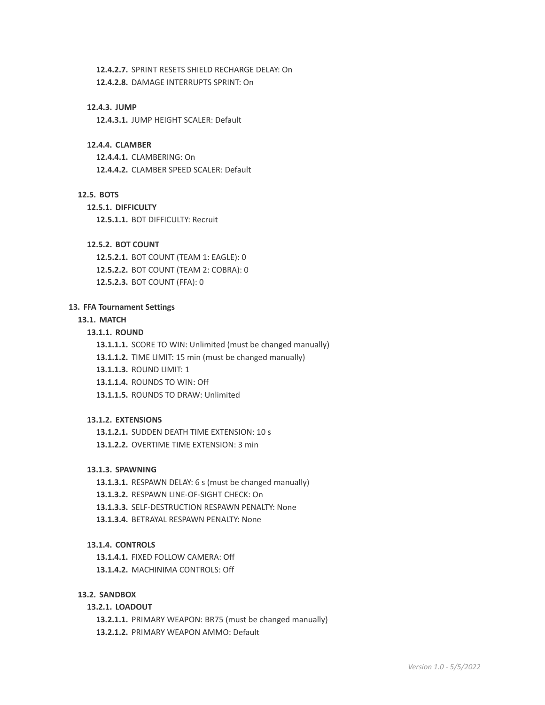**12.4.2.7.** SPRINT RESETS SHIELD RECHARGE DELAY: On

**12.4.2.8.** DAMAGE INTERRUPTS SPRINT: On

## **12.4.3. JUMP**

**12.4.3.1.** JUMP HEIGHT SCALER: Default

# **12.4.4. CLAMBER**

**12.4.4.1.** CLAMBERING: On **12.4.4.2.** CLAMBER SPEED SCALER: Default

## **12.5. BOTS**

**12.5.1. DIFFICULTY 12.5.1.1.** BOT DIFFICULTY: Recruit

# **12.5.2. BOT COUNT**

**12.5.2.1.** BOT COUNT (TEAM 1: EAGLE): 0 **12.5.2.2.** BOT COUNT (TEAM 2: COBRA): 0 **12.5.2.3.** BOT COUNT (FFA): 0

## **13. FFA Tournament Settings**

### **13.1. MATCH**

### **13.1.1. ROUND**

**13.1.1.1.** SCORE TO WIN: Unlimited (must be changed manually)

**13.1.1.2.** TIME LIMIT: 15 min (must be changed manually)

**13.1.1.3.** ROUND LIMIT: 1

**13.1.1.4.** ROUNDS TO WIN: Off

**13.1.1.5.** ROUNDS TO DRAW: Unlimited

## **13.1.2. EXTENSIONS**

**13.1.2.1.** SUDDEN DEATH TIME EXTENSION: 10 s **13.1.2.2.** OVERTIME TIME EXTENSION: 3 min

# **13.1.3. SPAWNING**

**13.1.3.1.** RESPAWN DELAY: 6 s (must be changed manually)

**13.1.3.2.** RESPAWN LINE-OF-SIGHT CHECK: On

**13.1.3.3.** SELF-DESTRUCTION RESPAWN PENALTY: None

**13.1.3.4.** BETRAYAL RESPAWN PENALTY: None

# **13.1.4. CONTROLS**

**13.1.4.1.** FIXED FOLLOW CAMERA: Off

**13.1.4.2.** MACHINIMA CONTROLS: Off

### **13.2. SANDBOX**

# **13.2.1. LOADOUT**

**13.2.1.1.** PRIMARY WEAPON: BR75 (must be changed manually)

**13.2.1.2.** PRIMARY WEAPON AMMO: Default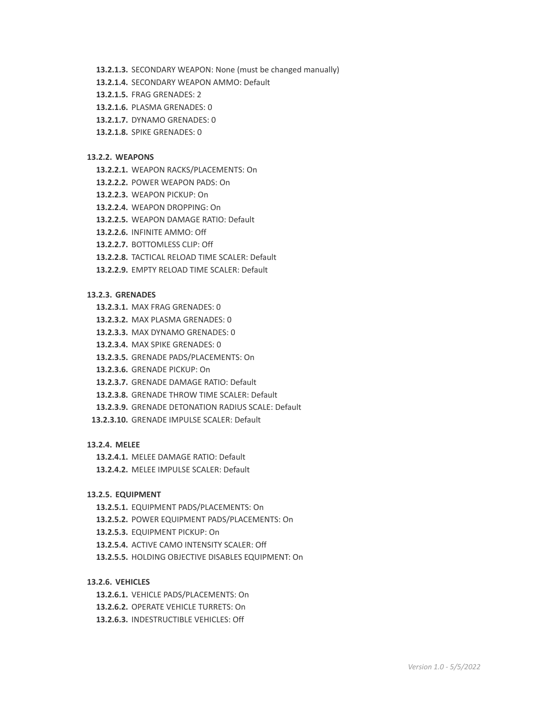- **13.2.1.3.** SECONDARY WEAPON: None (must be changed manually)
- **13.2.1.4.** SECONDARY WEAPON AMMO: Default
- **13.2.1.5.** FRAG GRENADES: 2
- **13.2.1.6.** PLASMA GRENADES: 0
- **13.2.1.7.** DYNAMO GRENADES: 0
- **13.2.1.8.** SPIKE GRENADES: 0

#### **13.2.2. WEAPONS**

- **13.2.2.1.** WEAPON RACKS/PLACEMENTS: On
- **13.2.2.2.** POWER WEAPON PADS: On
- **13.2.2.3.** WEAPON PICKUP: On
- **13.2.2.4.** WEAPON DROPPING: On
- **13.2.2.5.** WEAPON DAMAGE RATIO: Default
- **13.2.2.6.** INFINITE AMMO: Off
- **13.2.2.7.** BOTTOMLESS CLIP: Off
- **13.2.2.8.** TACTICAL RELOAD TIME SCALER: Default
- **13.2.2.9.** EMPTY RELOAD TIME SCALER: Default

## **13.2.3. GRENADES**

- **13.2.3.1.** MAX FRAG GRENADES: 0
- **13.2.3.2.** MAX PLASMA GRENADES: 0
- **13.2.3.3.** MAX DYNAMO GRENADES: 0
- **13.2.3.4.** MAX SPIKE GRENADES: 0
- **13.2.3.5.** GRENADE PADS/PLACEMENTS: On
- **13.2.3.6.** GRENADE PICKUP: On
- **13.2.3.7.** GRENADE DAMAGE RATIO: Default
- **13.2.3.8.** GRENADE THROW TIME SCALER: Default
- **13.2.3.9.** GRENADE DETONATION RADIUS SCALE: Default
- **13.2.3.10.** GRENADE IMPULSE SCALER: Default

#### **13.2.4. MELEE**

- **13.2.4.1.** MELEE DAMAGE RATIO: Default
- **13.2.4.2.** MELEE IMPULSE SCALER: Default

## **13.2.5. EQUIPMENT**

- **13.2.5.1.** EQUIPMENT PADS/PLACEMENTS: On
- **13.2.5.2.** POWER EQUIPMENT PADS/PLACEMENTS: On
- **13.2.5.3.** EQUIPMENT PICKUP: On
- **13.2.5.4.** ACTIVE CAMO INTENSITY SCALER: Off
- **13.2.5.5.** HOLDING OBJECTIVE DISABLES EQUIPMENT: On

## **13.2.6. VEHICLES**

- **13.2.6.1.** VEHICLE PADS/PLACEMENTS: On
- **13.2.6.2.** OPERATE VEHICLE TURRETS: On
- **13.2.6.3.** INDESTRUCTIBLE VEHICLES: Off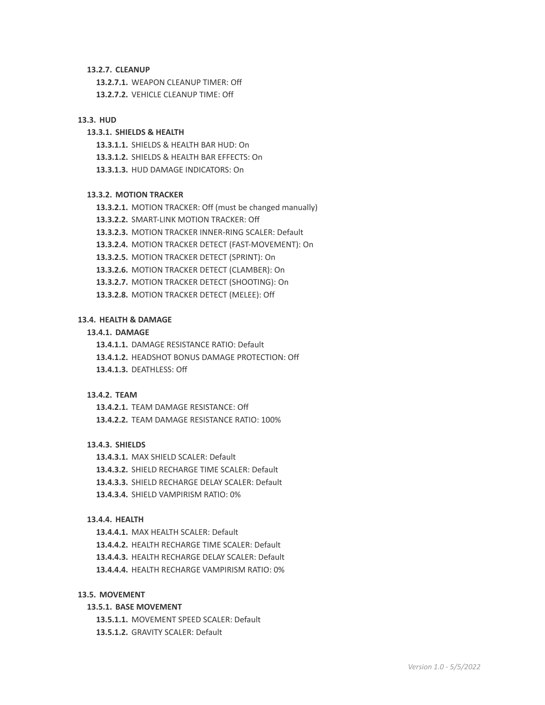#### **13.2.7. CLEANUP**

**13.2.7.1.** WEAPON CLEANUP TIMER: Off **13.2.7.2.** VEHICLE CLEANUP TIME: Off

#### **13.3. HUD**

# **13.3.1. SHIELDS & HEALTH**

**13.3.1.1.** SHIELDS & HEALTH BAR HUD: On

- **13.3.1.2.** SHIELDS & HEALTH BAR EFFECTS: On
- **13.3.1.3.** HUD DAMAGE INDICATORS: On

#### **13.3.2. MOTION TRACKER**

- **13.3.2.1.** MOTION TRACKER: Off (must be changed manually)
- **13.3.2.2.** SMART-LINK MOTION TRACKER: Off
- **13.3.2.3.** MOTION TRACKER INNER-RING SCALER: Default
- **13.3.2.4.** MOTION TRACKER DETECT (FAST-MOVEMENT): On
- **13.3.2.5.** MOTION TRACKER DETECT (SPRINT): On
- **13.3.2.6.** MOTION TRACKER DETECT (CLAMBER): On
- **13.3.2.7.** MOTION TRACKER DETECT (SHOOTING): On
- **13.3.2.8.** MOTION TRACKER DETECT (MELEE): Off

#### **13.4. HEALTH & DAMAGE**

## **13.4.1. DAMAGE**

**13.4.1.1.** DAMAGE RESISTANCE RATIO: Default

- **13.4.1.2.** HEADSHOT BONUS DAMAGE PROTECTION: Off
- **13.4.1.3.** DEATHLESS: Off

#### **13.4.2. TEAM**

**13.4.2.1.** TEAM DAMAGE RESISTANCE: Off **13.4.2.2.** TEAM DAMAGE RESISTANCE RATIO: 100%

## **13.4.3. SHIELDS**

- **13.4.3.1.** MAX SHIELD SCALER: Default
- **13.4.3.2.** SHIELD RECHARGE TIME SCALER: Default
- **13.4.3.3.** SHIELD RECHARGE DELAY SCALER: Default
- **13.4.3.4.** SHIELD VAMPIRISM RATIO: 0%

## **13.4.4. HEALTH**

- **13.4.4.1.** MAX HEALTH SCALER: Default
- **13.4.4.2.** HEALTH RECHARGE TIME SCALER: Default
- **13.4.4.3.** HEALTH RECHARGE DELAY SCALER: Default
- **13.4.4.4.** HEALTH RECHARGE VAMPIRISM RATIO: 0%

#### **13.5. MOVEMENT**

# **13.5.1. BASE MOVEMENT**

**13.5.1.1.** MOVEMENT SPEED SCALER: Default

**13.5.1.2.** GRAVITY SCALER: Default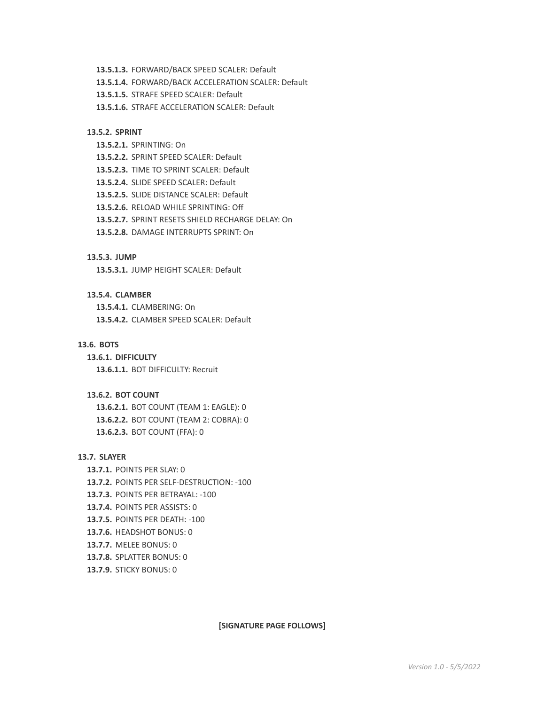- **13.5.1.3.** FORWARD/BACK SPEED SCALER: Default
- **13.5.1.4.** FORWARD/BACK ACCELERATION SCALER: Default
- **13.5.1.5.** STRAFE SPEED SCALER: Default
- **13.5.1.6.** STRAFE ACCELERATION SCALER: Default

# **13.5.2. SPRINT**

- **13.5.2.1.** SPRINTING: On
- **13.5.2.2.** SPRINT SPEED SCALER: Default
- **13.5.2.3.** TIME TO SPRINT SCALER: Default
- **13.5.2.4.** SLIDE SPEED SCALER: Default
- **13.5.2.5.** SLIDE DISTANCE SCALER: Default
- **13.5.2.6.** RELOAD WHILE SPRINTING: Off
- **13.5.2.7.** SPRINT RESETS SHIELD RECHARGE DELAY: On
- **13.5.2.8.** DAMAGE INTERRUPTS SPRINT: On

### **13.5.3. JUMP**

**13.5.3.1.** JUMP HEIGHT SCALER: Default

## **13.5.4. CLAMBER**

**13.5.4.1.** CLAMBERING: On **13.5.4.2.** CLAMBER SPEED SCALER: Default

### **13.6. BOTS**

**13.6.1. DIFFICULTY**

**13.6.1.1.** BOT DIFFICULTY: Recruit

#### **13.6.2. BOT COUNT**

**13.6.2.1.** BOT COUNT (TEAM 1: EAGLE): 0 **13.6.2.2.** BOT COUNT (TEAM 2: COBRA): 0 **13.6.2.3.** BOT COUNT (FFA): 0

### **13.7. SLAYER**

- **13.7.1.** POINTS PER SLAY: 0
- **13.7.2.** POINTS PER SELF-DESTRUCTION: -100
- **13.7.3.** POINTS PER BETRAYAL: -100
- **13.7.4.** POINTS PER ASSISTS: 0
- **13.7.5.** POINTS PER DEATH: -100
- **13.7.6.** HEADSHOT BONUS: 0
- **13.7.7.** MELEE BONUS: 0
- **13.7.8.** SPLATTER BONUS: 0
- **13.7.9.** STICKY BONUS: 0

**[SIGNATURE PAGE FOLLOWS]**